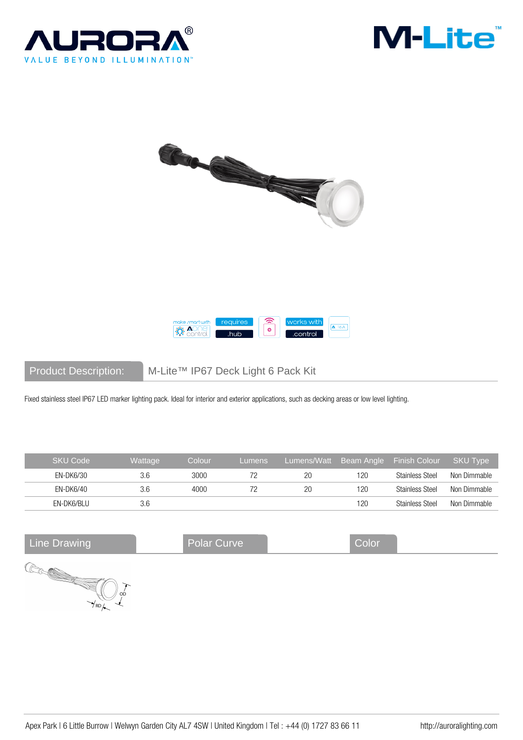







Product Description: M-Lite™ IP67 Deck Light 6 Pack Kit

Fixed stainless steel IP67 LED marker lighting pack. Ideal for interior and exterior applications, such as decking areas or low level lighting.

| <b>SKU Code</b> | Wattage | Colour | Lumens | Lumens/Watt |     | Beam Angle Finish Colour | SKU Type     |
|-----------------|---------|--------|--------|-------------|-----|--------------------------|--------------|
| EN-DK6/30       | 3.6     | 3000   |        | 20          | 120 | <b>Stainless Steel</b>   | Non Dimmable |
| EN-DK6/40       | 3.6     | 4000   |        | 20          | 120 | <b>Stainless Steel</b>   | Non Dimmable |
| EN-DK6/BLU      | 3.6     |        |        |             | 120 | <b>Stainless Steel</b>   | Non Dimmable |